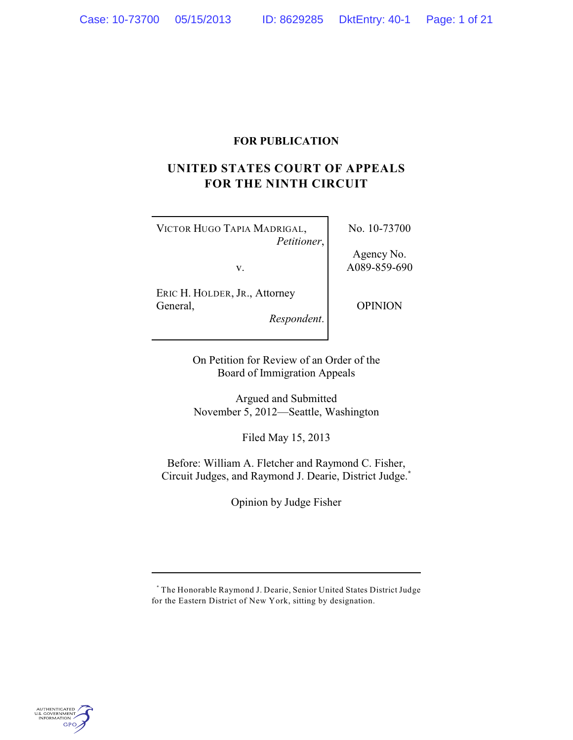# **FOR PUBLICATION**

# **UNITED STATES COURT OF APPEALS FOR THE NINTH CIRCUIT**

VICTOR HUGO TAPIA MADRIGAL, *Petitioner*, No. 10-73700

v.

Agency No. A089-859-690

ERIC H. HOLDER, JR., Attorney General, *Respondent*.

OPINION

On Petition for Review of an Order of the

Board of Immigration Appeals

Argued and Submitted November 5, 2012—Seattle, Washington

Filed May 15, 2013

Before: William A. Fletcher and Raymond C. Fisher, Circuit Judges, and Raymond J. Dearie, District Judge.**\***

Opinion by Judge Fisher



The Honorable Raymond J. Dearie, Senior United States District Judge **\*** for the Eastern District of New York, sitting by designation.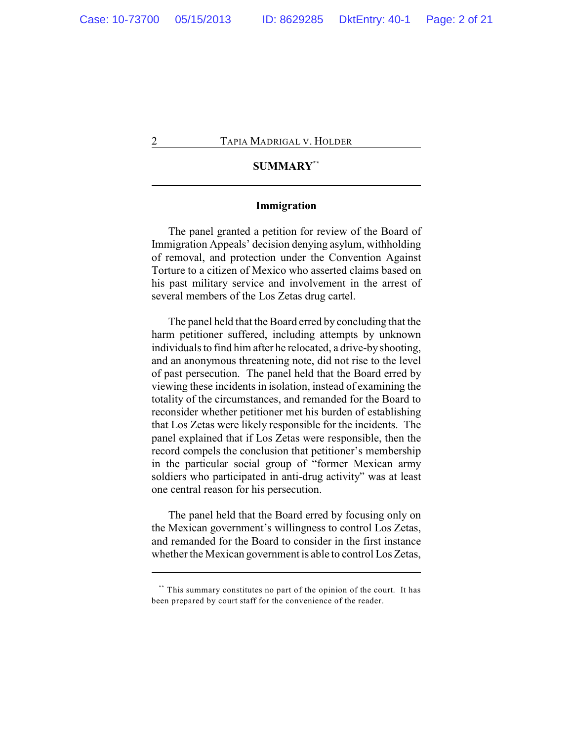# **SUMMARY \*\***

## **Immigration**

The panel granted a petition for review of the Board of Immigration Appeals' decision denying asylum, withholding of removal, and protection under the Convention Against Torture to a citizen of Mexico who asserted claims based on his past military service and involvement in the arrest of several members of the Los Zetas drug cartel.

The panel held that the Board erred by concluding that the harm petitioner suffered, including attempts by unknown individuals to find him after he relocated, a drive-by shooting, and an anonymous threatening note, did not rise to the level of past persecution. The panel held that the Board erred by viewing these incidents in isolation, instead of examining the totality of the circumstances, and remanded for the Board to reconsider whether petitioner met his burden of establishing that Los Zetas were likely responsible for the incidents. The panel explained that if Los Zetas were responsible, then the record compels the conclusion that petitioner's membership in the particular social group of "former Mexican army soldiers who participated in anti-drug activity" was at least one central reason for his persecution.

The panel held that the Board erred by focusing only on the Mexican government's willingness to control Los Zetas, and remanded for the Board to consider in the first instance whether the Mexican government is able to control Los Zetas,

<sup>\*\*\*</sup> This summary constitutes no part of the opinion of the court. It has been prepared by court staff for the convenience of the reader.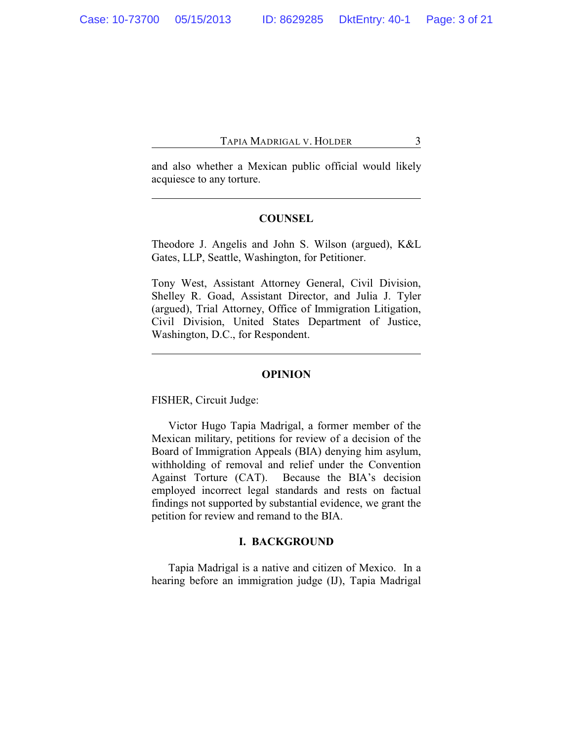and also whether a Mexican public official would likely acquiesce to any torture.

## **COUNSEL**

Theodore J. Angelis and John S. Wilson (argued), K&L Gates, LLP, Seattle, Washington, for Petitioner.

Tony West, Assistant Attorney General, Civil Division, Shelley R. Goad, Assistant Director, and Julia J. Tyler (argued), Trial Attorney, Office of Immigration Litigation, Civil Division, United States Department of Justice, Washington, D.C., for Respondent.

#### **OPINION**

FISHER, Circuit Judge:

Victor Hugo Tapia Madrigal, a former member of the Mexican military, petitions for review of a decision of the Board of Immigration Appeals (BIA) denying him asylum, withholding of removal and relief under the Convention Against Torture (CAT). Because the BIA's decision employed incorrect legal standards and rests on factual findings not supported by substantial evidence, we grant the petition for review and remand to the BIA.

## **I. BACKGROUND**

Tapia Madrigal is a native and citizen of Mexico. In a hearing before an immigration judge (IJ), Tapia Madrigal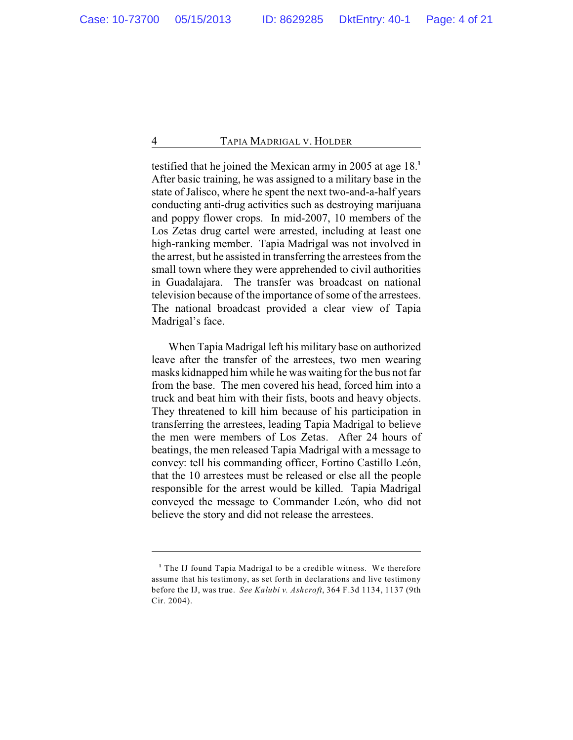testified that he joined the Mexican army in 2005 at age 18.**<sup>1</sup>** After basic training, he was assigned to a military base in the state of Jalisco, where he spent the next two-and-a-half years conducting anti-drug activities such as destroying marijuana and poppy flower crops. In mid-2007, 10 members of the Los Zetas drug cartel were arrested, including at least one high-ranking member. Tapia Madrigal was not involved in the arrest, but he assisted in transferring the arrestees from the small town where they were apprehended to civil authorities in Guadalajara. The transfer was broadcast on national television because of the importance of some of the arrestees. The national broadcast provided a clear view of Tapia Madrigal's face.

When Tapia Madrigal left his military base on authorized leave after the transfer of the arrestees, two men wearing masks kidnapped him while he was waiting for the bus not far from the base. The men covered his head, forced him into a truck and beat him with their fists, boots and heavy objects. They threatened to kill him because of his participation in transferring the arrestees, leading Tapia Madrigal to believe the men were members of Los Zetas. After 24 hours of beatings, the men released Tapia Madrigal with a message to convey: tell his commanding officer, Fortino Castillo León, that the 10 arrestees must be released or else all the people responsible for the arrest would be killed. Tapia Madrigal conveyed the message to Commander León, who did not believe the story and did not release the arrestees.

<sup>&</sup>lt;sup>1</sup> The IJ found Tapia Madrigal to be a credible witness. We therefore assume that his testimony, as set forth in declarations and live testimony before the IJ, was true. *See Kalubi v. Ashcroft*, 364 F.3d 1134, 1137 (9th Cir. 2004).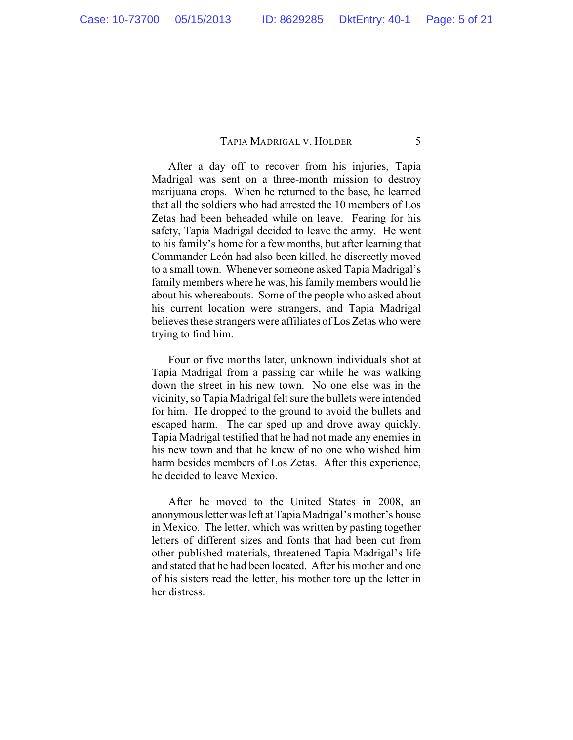After a day off to recover from his injuries, Tapia Madrigal was sent on a three-month mission to destroy marijuana crops. When he returned to the base, he learned that all the soldiers who had arrested the 10 members of Los Zetas had been beheaded while on leave. Fearing for his safety, Tapia Madrigal decided to leave the army. He went to his family's home for a few months, but after learning that Commander León had also been killed, he discreetly moved to a small town. Whenever someone asked Tapia Madrigal's family members where he was, his family members would lie about his whereabouts. Some of the people who asked about his current location were strangers, and Tapia Madrigal believes these strangers were affiliates of Los Zetas who were trying to find him.

Four or five months later, unknown individuals shot at Tapia Madrigal from a passing car while he was walking down the street in his new town. No one else was in the vicinity, so Tapia Madrigal felt sure the bullets were intended for him. He dropped to the ground to avoid the bullets and escaped harm. The car sped up and drove away quickly. Tapia Madrigal testified that he had not made any enemies in his new town and that he knew of no one who wished him harm besides members of Los Zetas. After this experience, he decided to leave Mexico.

After he moved to the United States in 2008, an anonymous letter was left at Tapia Madrigal's mother's house in Mexico. The letter, which was written by pasting together letters of different sizes and fonts that had been cut from other published materials, threatened Tapia Madrigal's life and stated that he had been located. After his mother and one of his sisters read the letter, his mother tore up the letter in her distress.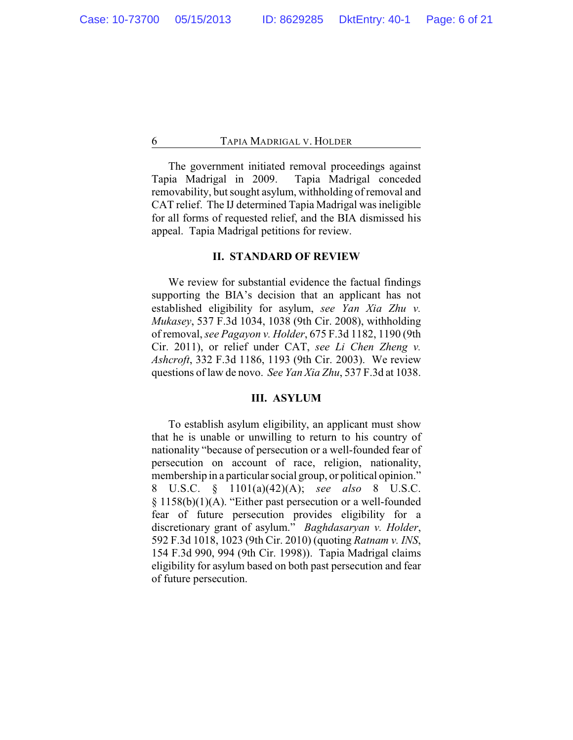The government initiated removal proceedings against Tapia Madrigal in 2009. Tapia Madrigal conceded removability, but sought asylum, withholding of removal and CAT relief. The IJ determined Tapia Madrigal was ineligible for all forms of requested relief, and the BIA dismissed his appeal. Tapia Madrigal petitions for review.

## **II. STANDARD OF REVIEW**

We review for substantial evidence the factual findings supporting the BIA's decision that an applicant has not established eligibility for asylum, *see Yan Xia Zhu v. Mukasey*, 537 F.3d 1034, 1038 (9th Cir. 2008), withholding of removal, *see Pagayon v. Holder*, 675 F.3d 1182, 1190 (9th Cir. 2011), or relief under CAT, *see Li Chen Zheng v. Ashcroft*, 332 F.3d 1186, 1193 (9th Cir. 2003). We review questions of law de novo. *See Yan Xia Zhu*, 537 F.3d at 1038.

## **III. ASYLUM**

To establish asylum eligibility, an applicant must show that he is unable or unwilling to return to his country of nationality "because of persecution or a well-founded fear of persecution on account of race, religion, nationality, membership in a particular social group, or political opinion." 8 U.S.C. § 1101(a)(42)(A); *see also* 8 U.S.C. § 1158(b)(1)(A). "Either past persecution or a well-founded fear of future persecution provides eligibility for a discretionary grant of asylum." *Baghdasaryan v. Holder*, 592 F.3d 1018, 1023 (9th Cir. 2010) (quoting *Ratnam v. INS*, 154 F.3d 990, 994 (9th Cir. 1998)). Tapia Madrigal claims eligibility for asylum based on both past persecution and fear of future persecution.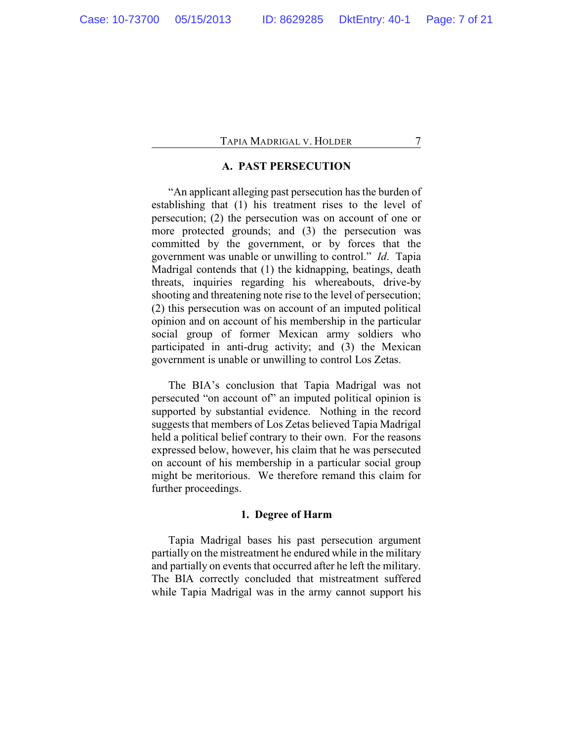## **A. PAST PERSECUTION**

"An applicant alleging past persecution has the burden of establishing that (1) his treatment rises to the level of persecution; (2) the persecution was on account of one or more protected grounds; and (3) the persecution was committed by the government, or by forces that the government was unable or unwilling to control." *Id*. Tapia Madrigal contends that (1) the kidnapping, beatings, death threats, inquiries regarding his whereabouts, drive-by shooting and threatening note rise to the level of persecution; (2) this persecution was on account of an imputed political opinion and on account of his membership in the particular social group of former Mexican army soldiers who participated in anti-drug activity; and (3) the Mexican government is unable or unwilling to control Los Zetas.

The BIA's conclusion that Tapia Madrigal was not persecuted "on account of" an imputed political opinion is supported by substantial evidence. Nothing in the record suggests that members of Los Zetas believed Tapia Madrigal held a political belief contrary to their own. For the reasons expressed below, however, his claim that he was persecuted on account of his membership in a particular social group might be meritorious. We therefore remand this claim for further proceedings.

## **1. Degree of Harm**

Tapia Madrigal bases his past persecution argument partially on the mistreatment he endured while in the military and partially on events that occurred after he left the military. The BIA correctly concluded that mistreatment suffered while Tapia Madrigal was in the army cannot support his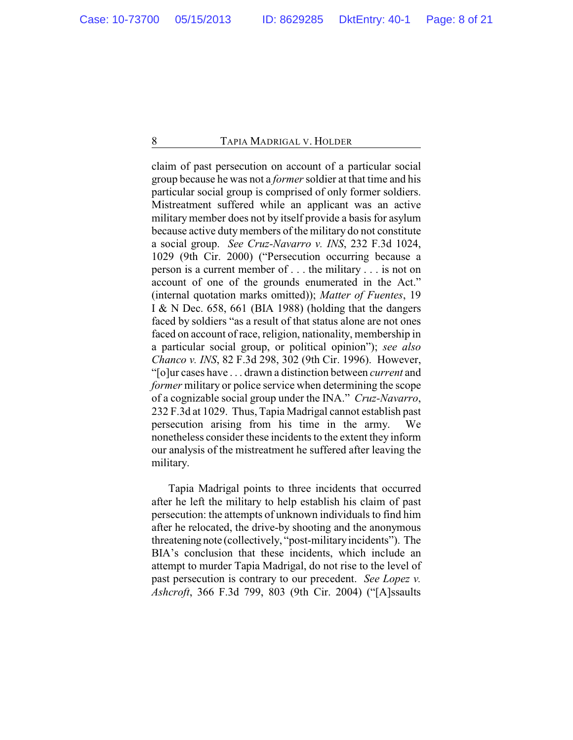claim of past persecution on account of a particular social group because he was not a *former* soldier at that time and his particular social group is comprised of only former soldiers. Mistreatment suffered while an applicant was an active military member does not by itself provide a basis for asylum because active duty members of the military do not constitute a social group. *See Cruz-Navarro v. INS*, 232 F.3d 1024, 1029 (9th Cir. 2000) ("Persecution occurring because a person is a current member of . . . the military . . . is not on account of one of the grounds enumerated in the Act." (internal quotation marks omitted)); *Matter of Fuentes*, 19 I & N Dec. 658, 661 (BIA 1988) (holding that the dangers faced by soldiers "as a result of that status alone are not ones faced on account of race, religion, nationality, membership in a particular social group, or political opinion"); *see also Chanco v. INS*, 82 F.3d 298, 302 (9th Cir. 1996). However, "[o]ur cases have . . . drawn a distinction between *current* and *former* military or police service when determining the scope of a cognizable social group under the INA." *Cruz-Navarro*, 232 F.3d at 1029. Thus, Tapia Madrigal cannot establish past persecution arising from his time in the army. We nonetheless consider these incidents to the extent they inform our analysis of the mistreatment he suffered after leaving the military.

Tapia Madrigal points to three incidents that occurred after he left the military to help establish his claim of past persecution: the attempts of unknown individuals to find him after he relocated, the drive-by shooting and the anonymous threatening note (collectively, "post-military incidents"). The BIA's conclusion that these incidents, which include an attempt to murder Tapia Madrigal, do not rise to the level of past persecution is contrary to our precedent. *See Lopez v. Ashcroft*, 366 F.3d 799, 803 (9th Cir. 2004) ("[A]ssaults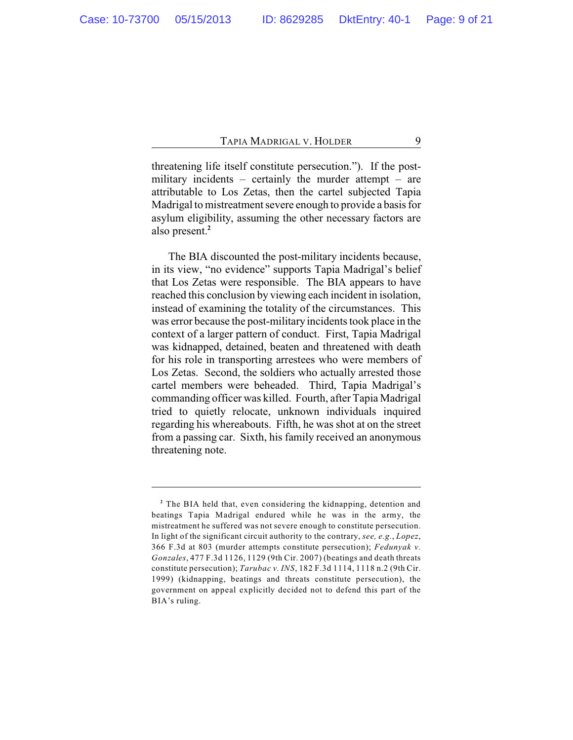threatening life itself constitute persecution."). If the postmilitary incidents – certainly the murder attempt – are attributable to Los Zetas, then the cartel subjected Tapia Madrigal to mistreatment severe enough to provide a basis for asylum eligibility, assuming the other necessary factors are also present.**<sup>2</sup>**

The BIA discounted the post-military incidents because, in its view, "no evidence" supports Tapia Madrigal's belief that Los Zetas were responsible. The BIA appears to have reached this conclusion by viewing each incident in isolation, instead of examining the totality of the circumstances. This was error because the post-military incidents took place in the context of a larger pattern of conduct. First, Tapia Madrigal was kidnapped, detained, beaten and threatened with death for his role in transporting arrestees who were members of Los Zetas. Second, the soldiers who actually arrested those cartel members were beheaded. Third, Tapia Madrigal's commanding officer was killed. Fourth, after Tapia Madrigal tried to quietly relocate, unknown individuals inquired regarding his whereabouts. Fifth, he was shot at on the street from a passing car. Sixth, his family received an anonymous threatening note.

<sup>&</sup>lt;sup>2</sup> The BIA held that, even considering the kidnapping, detention and beatings Tapia Madrigal endured while he was in the army, the mistreatment he suffered was not severe enough to constitute persecution. In light of the significant circuit authority to the contrary, *see, e.g.*, *Lopez*, 366 F.3d at 803 (murder attempts constitute persecution); *Fedunyak v. Gonzales*, 477 F.3d 1126, 1129 (9th Cir. 2007) (beatings and death threats constitute persecution); *Tarubac v. INS*, 182 F.3d 1114, 1118 n.2 (9th Cir. 1999) (kidnapping, beatings and threats constitute persecution), the government on appeal explicitly decided not to defend this part of the BIA's ruling.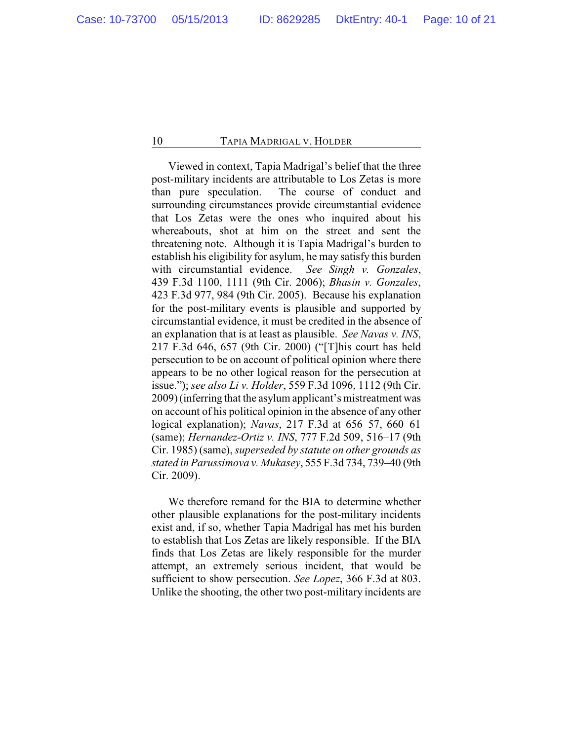Viewed in context, Tapia Madrigal's belief that the three post-military incidents are attributable to Los Zetas is more than pure speculation. The course of conduct and surrounding circumstances provide circumstantial evidence that Los Zetas were the ones who inquired about his whereabouts, shot at him on the street and sent the threatening note. Although it is Tapia Madrigal's burden to establish his eligibility for asylum, he may satisfy this burden with circumstantial evidence. *See Singh v. Gonzales*, 439 F.3d 1100, 1111 (9th Cir. 2006); *Bhasin v. Gonzales*, 423 F.3d 977, 984 (9th Cir. 2005). Because his explanation for the post-military events is plausible and supported by circumstantial evidence, it must be credited in the absence of an explanation that is at least as plausible. *See Navas v. INS*, 217 F.3d 646, 657 (9th Cir. 2000) ("[T]his court has held persecution to be on account of political opinion where there appears to be no other logical reason for the persecution at issue."); *see also Li v. Holder*, 559 F.3d 1096, 1112 (9th Cir. 2009) (inferring that the asylum applicant's mistreatment was on account of his political opinion in the absence of any other logical explanation); *Navas*, 217 F.3d at 656–57, 660–61 (same); *Hernandez-Ortiz v. INS*, 777 F.2d 509, 516–17 (9th Cir. 1985) (same), *superseded by statute on other grounds as stated in Parussimova v. Mukasey*, 555 F.3d 734, 739–40 (9th Cir. 2009).

We therefore remand for the BIA to determine whether other plausible explanations for the post-military incidents exist and, if so, whether Tapia Madrigal has met his burden to establish that Los Zetas are likely responsible. If the BIA finds that Los Zetas are likely responsible for the murder attempt, an extremely serious incident, that would be sufficient to show persecution. *See Lopez*, 366 F.3d at 803. Unlike the shooting, the other two post-military incidents are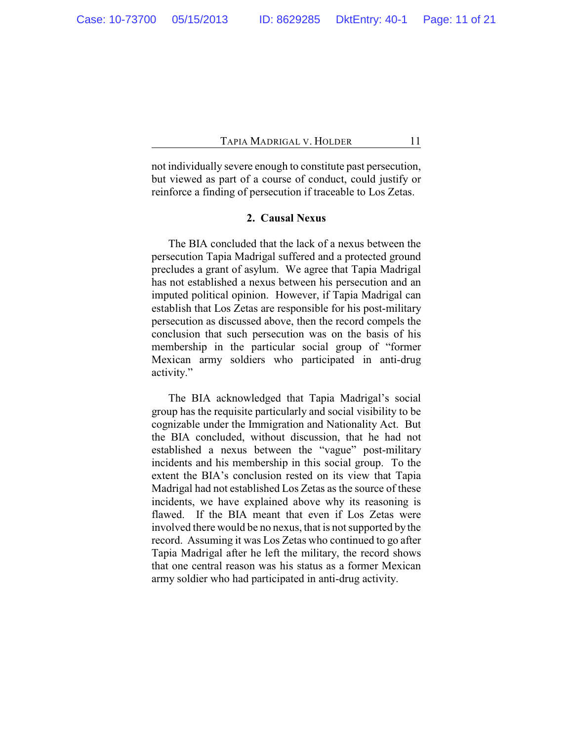not individually severe enough to constitute past persecution, but viewed as part of a course of conduct, could justify or reinforce a finding of persecution if traceable to Los Zetas.

## **2. Causal Nexus**

The BIA concluded that the lack of a nexus between the persecution Tapia Madrigal suffered and a protected ground precludes a grant of asylum. We agree that Tapia Madrigal has not established a nexus between his persecution and an imputed political opinion. However, if Tapia Madrigal can establish that Los Zetas are responsible for his post-military persecution as discussed above, then the record compels the conclusion that such persecution was on the basis of his membership in the particular social group of "former Mexican army soldiers who participated in anti-drug activity."

The BIA acknowledged that Tapia Madrigal's social group has the requisite particularly and social visibility to be cognizable under the Immigration and Nationality Act. But the BIA concluded, without discussion, that he had not established a nexus between the "vague" post-military incidents and his membership in this social group. To the extent the BIA's conclusion rested on its view that Tapia Madrigal had not established Los Zetas as the source of these incidents, we have explained above why its reasoning is flawed. If the BIA meant that even if Los Zetas were involved there would be no nexus, that is not supported by the record. Assuming it was Los Zetas who continued to go after Tapia Madrigal after he left the military, the record shows that one central reason was his status as a former Mexican army soldier who had participated in anti-drug activity.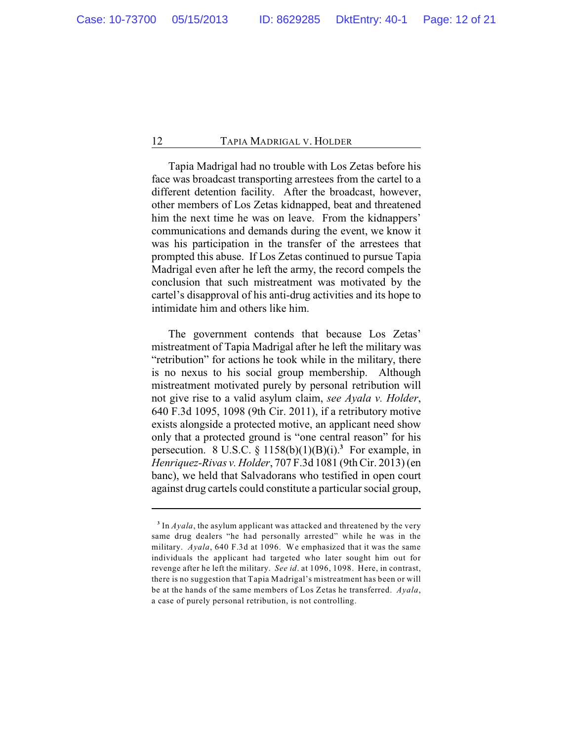Tapia Madrigal had no trouble with Los Zetas before his face was broadcast transporting arrestees from the cartel to a different detention facility. After the broadcast, however, other members of Los Zetas kidnapped, beat and threatened him the next time he was on leave. From the kidnappers' communications and demands during the event, we know it was his participation in the transfer of the arrestees that prompted this abuse. If Los Zetas continued to pursue Tapia Madrigal even after he left the army, the record compels the conclusion that such mistreatment was motivated by the cartel's disapproval of his anti-drug activities and its hope to intimidate him and others like him.

The government contends that because Los Zetas' mistreatment of Tapia Madrigal after he left the military was "retribution" for actions he took while in the military, there is no nexus to his social group membership. Although mistreatment motivated purely by personal retribution will not give rise to a valid asylum claim, *see Ayala v. Holder*, 640 F.3d 1095, 1098 (9th Cir. 2011), if a retributory motive exists alongside a protected motive, an applicant need show only that a protected ground is "one central reason" for his persecution. 8 U.S.C.  $\S$  1158(b)(1)(B)(i).<sup>3</sup> For example, in *Henriquez-Rivas v. Holder*, 707 F.3d 1081 (9th Cir. 2013) (en banc), we held that Salvadorans who testified in open court against drug cartels could constitute a particular social group,

 $\frac{3}{3}$  In *Ayala*, the asylum applicant was attacked and threatened by the very same drug dealers "he had personally arrested" while he was in the military. *Ayala*, 640 F.3d at 1096. We emphasized that it was the same individuals the applicant had targeted who later sought him out for revenge after he left the military. *See id*. at 1096, 1098. Here, in contrast, there is no suggestion that Tapia Madrigal's mistreatment has been or will be at the hands of the same members of Los Zetas he transferred. *Ayala*, a case of purely personal retribution, is not controlling.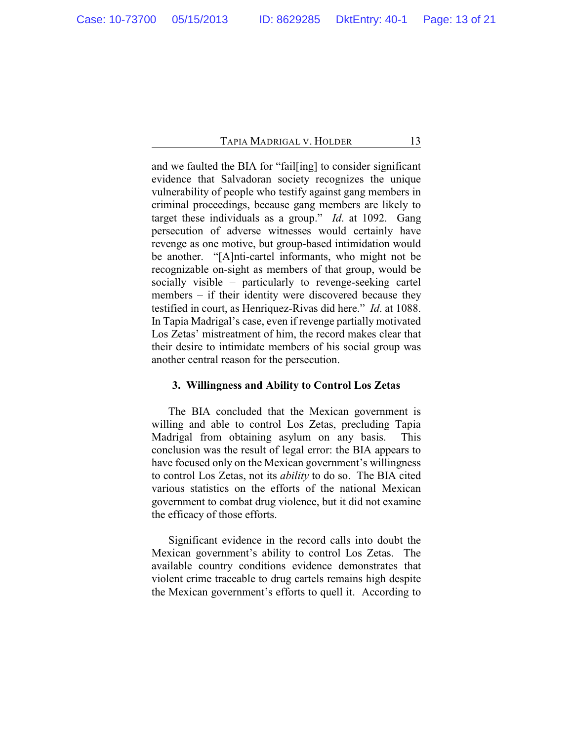and we faulted the BIA for "fail[ing] to consider significant evidence that Salvadoran society recognizes the unique vulnerability of people who testify against gang members in criminal proceedings, because gang members are likely to target these individuals as a group." *Id*. at 1092. Gang persecution of adverse witnesses would certainly have revenge as one motive, but group-based intimidation would be another. "[A]nti-cartel informants, who might not be recognizable on-sight as members of that group, would be socially visible – particularly to revenge-seeking cartel members – if their identity were discovered because they testified in court, as Henriquez-Rivas did here." *Id*. at 1088. In Tapia Madrigal's case, even if revenge partially motivated Los Zetas' mistreatment of him, the record makes clear that their desire to intimidate members of his social group was another central reason for the persecution.

## **3. Willingness and Ability to Control Los Zetas**

The BIA concluded that the Mexican government is willing and able to control Los Zetas, precluding Tapia Madrigal from obtaining asylum on any basis. This conclusion was the result of legal error: the BIA appears to have focused only on the Mexican government's willingness to control Los Zetas, not its *ability* to do so. The BIA cited various statistics on the efforts of the national Mexican government to combat drug violence, but it did not examine the efficacy of those efforts.

Significant evidence in the record calls into doubt the Mexican government's ability to control Los Zetas. The available country conditions evidence demonstrates that violent crime traceable to drug cartels remains high despite the Mexican government's efforts to quell it. According to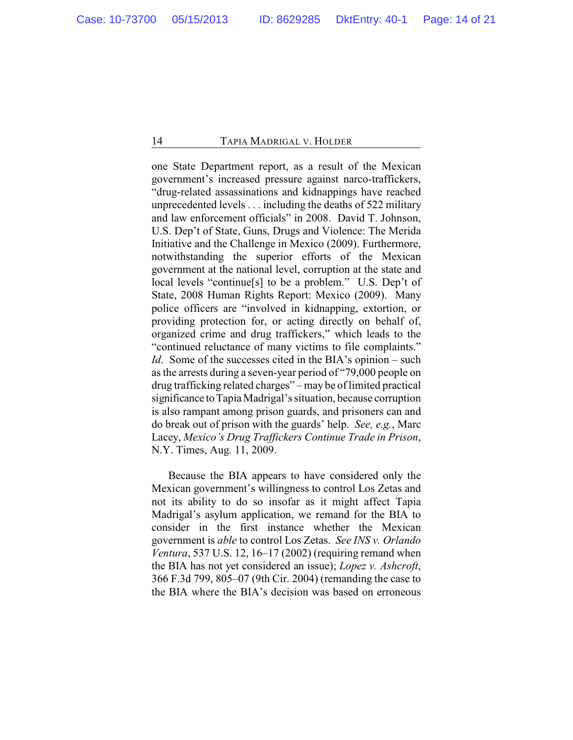one State Department report, as a result of the Mexican government's increased pressure against narco-traffickers, "drug-related assassinations and kidnappings have reached unprecedented levels . . . including the deaths of 522 military and law enforcement officials" in 2008. David T. Johnson, U.S. Dep't of State, Guns, Drugs and Violence: The Merida Initiative and the Challenge in Mexico (2009). Furthermore, notwithstanding the superior efforts of the Mexican government at the national level, corruption at the state and local levels "continue[s] to be a problem." U.S. Dep't of State, 2008 Human Rights Report: Mexico (2009). Many police officers are "involved in kidnapping, extortion, or providing protection for, or acting directly on behalf of, organized crime and drug traffickers," which leads to the "continued reluctance of many victims to file complaints." *Id.* Some of the successes cited in the BIA's opinion – such as the arrests during a seven-year period of "79,000 people on drug trafficking related charges" – may be of limited practical significance to Tapia Madrigal's situation, because corruption is also rampant among prison guards, and prisoners can and do break out of prison with the guards' help. *See, e.g.*, Marc Lacey, *Mexico's Drug Traffickers Continue Trade in Prison*, N.Y. Times, Aug. 11, 2009.

Because the BIA appears to have considered only the Mexican government's willingness to control Los Zetas and not its ability to do so insofar as it might affect Tapia Madrigal's asylum application, we remand for the BIA to consider in the first instance whether the Mexican government is *able* to control Los Zetas. *See INS v. Orlando Ventura*, 537 U.S. 12, 16–17 (2002) (requiring remand when the BIA has not yet considered an issue); *Lopez v. Ashcroft*, 366 F.3d 799, 805–07 (9th Cir. 2004) (remanding the case to the BIA where the BIA's decision was based on erroneous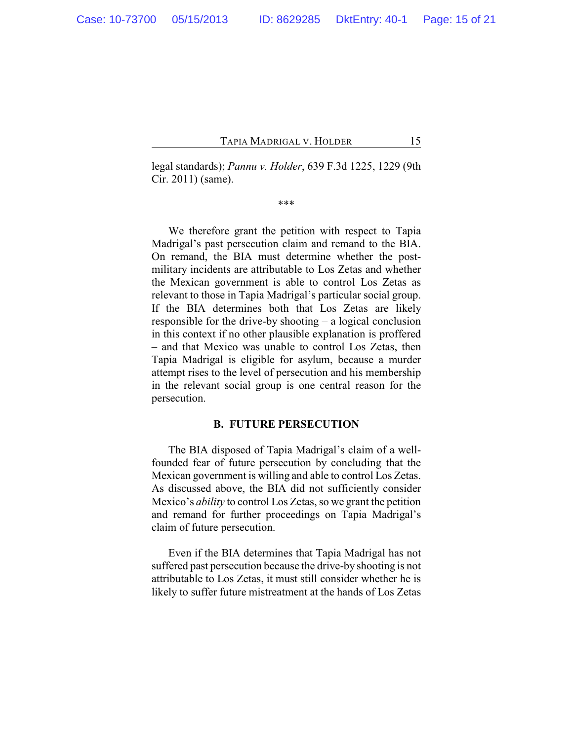legal standards); *Pannu v. Holder*, 639 F.3d 1225, 1229 (9th Cir. 2011) (same).

\*\*\*

We therefore grant the petition with respect to Tapia Madrigal's past persecution claim and remand to the BIA. On remand, the BIA must determine whether the postmilitary incidents are attributable to Los Zetas and whether the Mexican government is able to control Los Zetas as relevant to those in Tapia Madrigal's particular social group. If the BIA determines both that Los Zetas are likely responsible for the drive-by shooting – a logical conclusion in this context if no other plausible explanation is proffered – and that Mexico was unable to control Los Zetas, then Tapia Madrigal is eligible for asylum, because a murder attempt rises to the level of persecution and his membership in the relevant social group is one central reason for the persecution.

#### **B. FUTURE PERSECUTION**

The BIA disposed of Tapia Madrigal's claim of a wellfounded fear of future persecution by concluding that the Mexican government is willing and able to control Los Zetas. As discussed above, the BIA did not sufficiently consider Mexico's *ability* to control Los Zetas, so we grant the petition and remand for further proceedings on Tapia Madrigal's claim of future persecution.

Even if the BIA determines that Tapia Madrigal has not suffered past persecution because the drive-by shooting is not attributable to Los Zetas, it must still consider whether he is likely to suffer future mistreatment at the hands of Los Zetas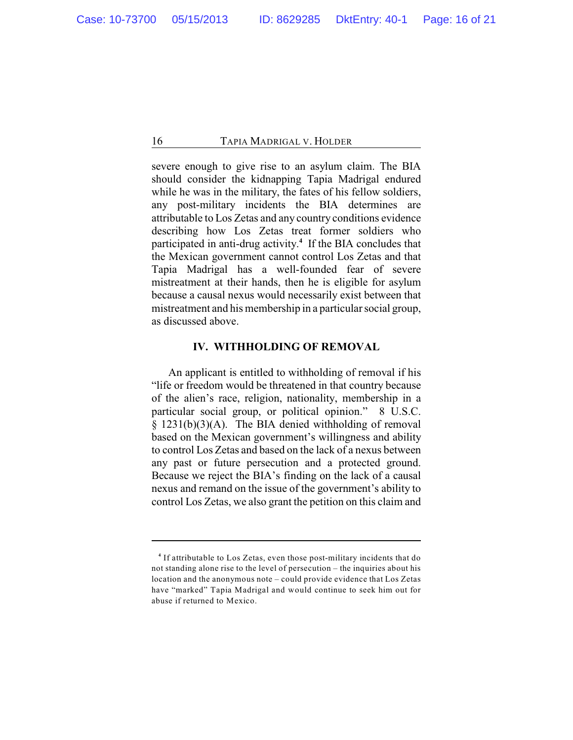severe enough to give rise to an asylum claim. The BIA should consider the kidnapping Tapia Madrigal endured while he was in the military, the fates of his fellow soldiers, any post-military incidents the BIA determines are attributable to Los Zetas and any country conditions evidence describing how Los Zetas treat former soldiers who participated in anti-drug activity.<sup>4</sup> If the BIA concludes that the Mexican government cannot control Los Zetas and that Tapia Madrigal has a well-founded fear of severe mistreatment at their hands, then he is eligible for asylum because a causal nexus would necessarily exist between that mistreatment and his membership in a particular social group, as discussed above.

## **IV. WITHHOLDING OF REMOVAL**

An applicant is entitled to withholding of removal if his "life or freedom would be threatened in that country because of the alien's race, religion, nationality, membership in a particular social group, or political opinion." 8 U.S.C. § 1231(b)(3)(A). The BIA denied withholding of removal based on the Mexican government's willingness and ability to control Los Zetas and based on the lack of a nexus between any past or future persecution and a protected ground. Because we reject the BIA's finding on the lack of a causal nexus and remand on the issue of the government's ability to control Los Zetas, we also grant the petition on this claim and

<sup>&</sup>lt;sup>4</sup> If attributable to Los Zetas, even those post-military incidents that do not standing alone rise to the level of persecution – the inquiries about his location and the anonymous note – could provide evidence that Los Zetas have "marked" Tapia Madrigal and would continue to seek him out for abuse if returned to Mexico.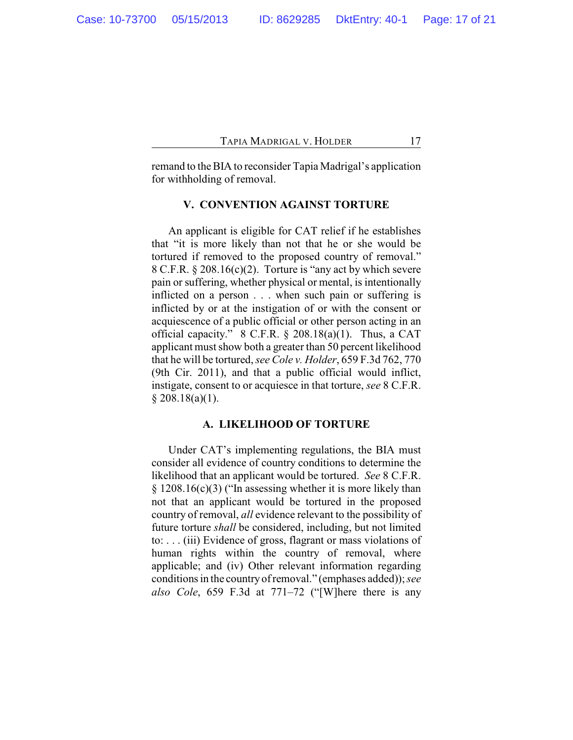remand to theBIA to reconsider Tapia Madrigal's application for withholding of removal.

## **V. CONVENTION AGAINST TORTURE**

An applicant is eligible for CAT relief if he establishes that "it is more likely than not that he or she would be tortured if removed to the proposed country of removal." 8 C.F.R. § 208.16(c)(2). Torture is "any act by which severe pain or suffering, whether physical or mental, is intentionally inflicted on a person . . . when such pain or suffering is inflicted by or at the instigation of or with the consent or acquiescence of a public official or other person acting in an official capacity." 8 C.F.R. § 208.18(a)(1). Thus, a CAT applicant must show both a greater than 50 percent likelihood that he will be tortured, *see Cole v. Holder*, 659 F.3d 762, 770 (9th Cir. 2011), and that a public official would inflict, instigate, consent to or acquiesce in that torture, *see* 8 C.F.R.  $$208.18(a)(1).$ 

## **A. LIKELIHOOD OF TORTURE**

Under CAT's implementing regulations, the BIA must consider all evidence of country conditions to determine the likelihood that an applicant would be tortured. *See* 8 C.F.R. § 1208.16(c)(3) ("In assessing whether it is more likely than not that an applicant would be tortured in the proposed country of removal, *all* evidence relevant to the possibility of future torture *shall* be considered, including, but not limited to: . . . (iii) Evidence of gross, flagrant or mass violations of human rights within the country of removal, where applicable; and (iv) Other relevant information regarding conditions in the countryofremoval." (emphases added));*see also Cole*, 659 F.3d at 771–72 ("[W]here there is any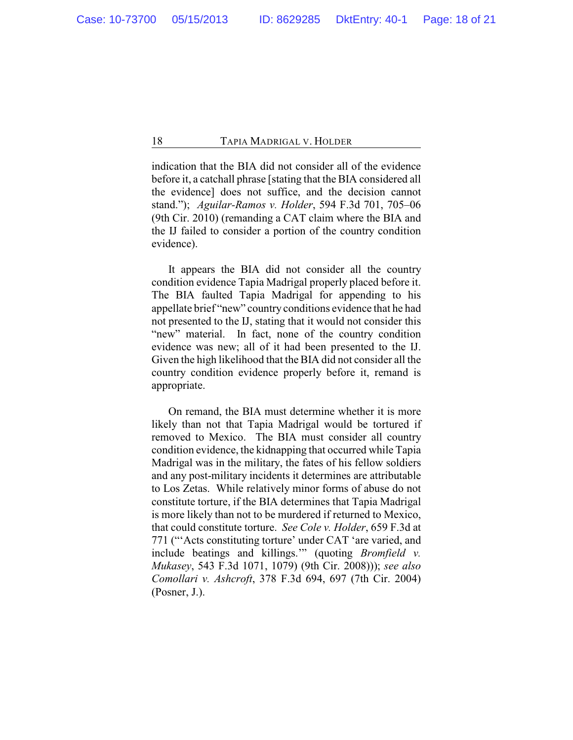indication that the BIA did not consider all of the evidence before it, a catchall phrase [stating that the BIA considered all the evidence] does not suffice, and the decision cannot stand."); *Aguilar-Ramos v. Holder*, 594 F.3d 701, 705–06 (9th Cir. 2010) (remanding a CAT claim where the BIA and the IJ failed to consider a portion of the country condition evidence).

It appears the BIA did not consider all the country condition evidence Tapia Madrigal properly placed before it. The BIA faulted Tapia Madrigal for appending to his appellate brief "new" country conditions evidence that he had not presented to the IJ, stating that it would not consider this "new" material. In fact, none of the country condition evidence was new; all of it had been presented to the IJ. Given the high likelihood that the BIA did not consider all the country condition evidence properly before it, remand is appropriate.

On remand, the BIA must determine whether it is more likely than not that Tapia Madrigal would be tortured if removed to Mexico. The BIA must consider all country condition evidence, the kidnapping that occurred while Tapia Madrigal was in the military, the fates of his fellow soldiers and any post-military incidents it determines are attributable to Los Zetas. While relatively minor forms of abuse do not constitute torture, if the BIA determines that Tapia Madrigal is more likely than not to be murdered if returned to Mexico, that could constitute torture. *See Cole v. Holder*, 659 F.3d at 771 ("'Acts constituting torture' under CAT 'are varied, and include beatings and killings.'" (quoting *Bromfield v. Mukasey*, 543 F.3d 1071, 1079) (9th Cir. 2008))); *see also Comollari v. Ashcroft*, 378 F.3d 694, 697 (7th Cir. 2004) (Posner, J.).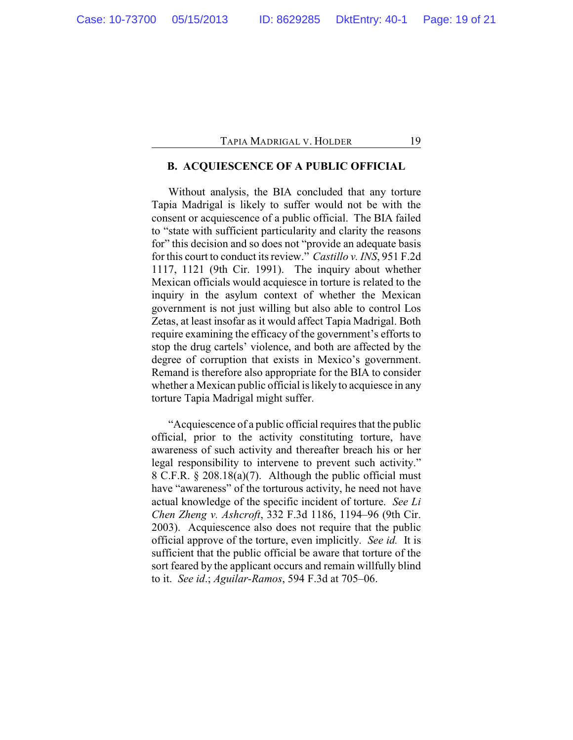# **B. ACQUIESCENCE OF A PUBLIC OFFICIAL**

Without analysis, the BIA concluded that any torture Tapia Madrigal is likely to suffer would not be with the consent or acquiescence of a public official. The BIA failed to "state with sufficient particularity and clarity the reasons for" this decision and so does not "provide an adequate basis for this court to conduct its review." *Castillo v. INS*, 951 F.2d 1117, 1121 (9th Cir. 1991). The inquiry about whether Mexican officials would acquiesce in torture is related to the inquiry in the asylum context of whether the Mexican government is not just willing but also able to control Los Zetas, at least insofar as it would affect Tapia Madrigal. Both require examining the efficacy of the government's efforts to stop the drug cartels' violence, and both are affected by the degree of corruption that exists in Mexico's government. Remand is therefore also appropriate for the BIA to consider whether a Mexican public official is likely to acquiesce in any torture Tapia Madrigal might suffer.

"Acquiescence of a public official requires that the public official, prior to the activity constituting torture, have awareness of such activity and thereafter breach his or her legal responsibility to intervene to prevent such activity." 8 C.F.R. § 208.18(a)(7). Although the public official must have "awareness" of the torturous activity, he need not have actual knowledge of the specific incident of torture. *See Li Chen Zheng v. Ashcroft*, 332 F.3d 1186, 1194–96 (9th Cir. 2003). Acquiescence also does not require that the public official approve of the torture, even implicitly. *See id.* It is sufficient that the public official be aware that torture of the sort feared by the applicant occurs and remain willfully blind to it. *See id*.; *Aguilar-Ramos*, 594 F.3d at 705–06.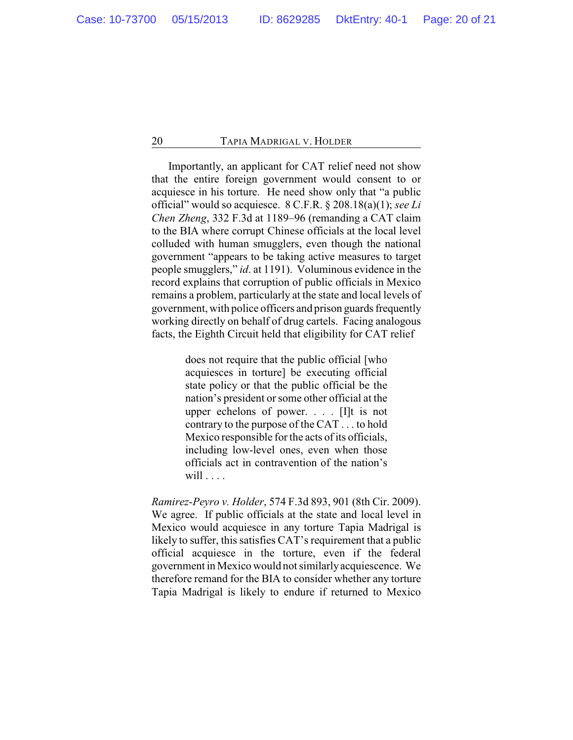Importantly, an applicant for CAT relief need not show that the entire foreign government would consent to or acquiesce in his torture. He need show only that "a public official" would so acquiesce. 8 C.F.R. § 208.18(a)(1); *see Li Chen Zheng*, 332 F.3d at 1189–96 (remanding a CAT claim to the BIA where corrupt Chinese officials at the local level colluded with human smugglers, even though the national government "appears to be taking active measures to target people smugglers," *id*. at 1191). Voluminous evidence in the record explains that corruption of public officials in Mexico remains a problem, particularly at the state and local levels of government, with police officers and prison guards frequently working directly on behalf of drug cartels. Facing analogous facts, the Eighth Circuit held that eligibility for CAT relief

> does not require that the public official [who acquiesces in torture] be executing official state policy or that the public official be the nation's president or some other official at the upper echelons of power. . . . [I]t is not contrary to the purpose of the CAT . . . to hold Mexico responsible for the acts of its officials, including low-level ones, even when those officials act in contravention of the nation's will  $\ldots$ .

*Ramirez-Peyro v. Holder*, 574 F.3d 893, 901 (8th Cir. 2009). We agree. If public officials at the state and local level in Mexico would acquiesce in any torture Tapia Madrigal is likely to suffer, this satisfies CAT's requirement that a public official acquiesce in the torture, even if the federal government in Mexico would not similarly acquiescence. We therefore remand for the BIA to consider whether any torture Tapia Madrigal is likely to endure if returned to Mexico